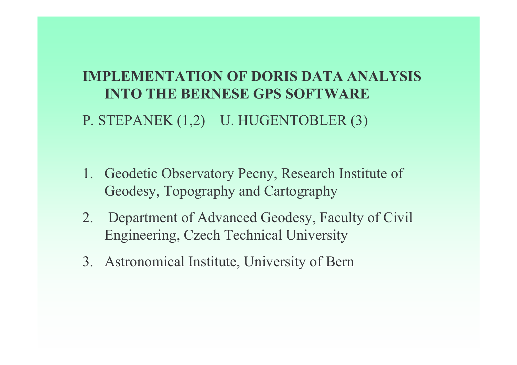# **IMPLEMENTATION OF DORIS DATA ANALYSIS INTO THE BERNESE GPS SOFTWARE** P. STEPANEK  $(1,2)$  U. HUGENTOBLER  $(3)$

- 1. Geodetic Observatory Pecny, Research Institute of Geodesy, Topography and Cartography
- Department of Advanced Geodesy, Faculty of Civil  $2.$ Engineering, Czech Technical University
- 3. Astronomical Institute, University of Bern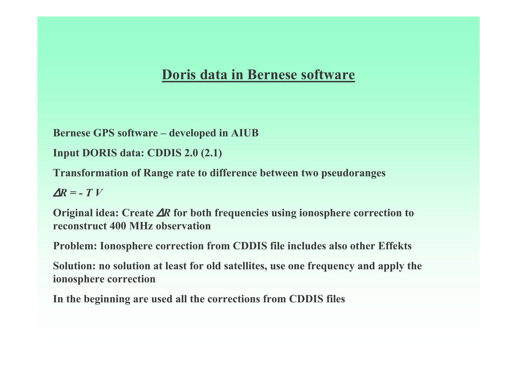# **Doris data in Bernese software**

```
Bernese GPS software – developed in AIUB
```

```
Input DORIS data: CDDIS 2.0 (2.1)
```
**Transformation of Range rate to difference between two pseudoranges** 

 $AR = - TV$ 

Original idea: Create  $\Delta R$  for both frequencies using ionosphere correction to reconstruct 400 MHz observation

Problem: Ionosphere correction from CDDIS file includes also other Effekts

Solution: no solution at least for old satellites, use one frequency and apply the ionosphere correction

In the beginning are used all the corrections from CDDIS files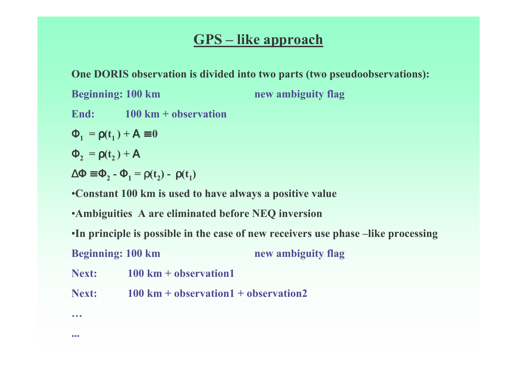### **GPS** – like approach

One DORIS observation is divided into two parts (two pseudoobservations):

**Beginning: 100 km** new ambiguity flag

- End:  $100 \text{ km} + \text{observation}$
- $\Phi_1 = \rho(t_1) + A \equiv 0$

 $\Phi_2 = \rho(t_2) + A$ 

 $\Delta \Phi \equiv \Phi_2 - \Phi_1 = \rho(t_2) - \rho(t_1)$ 

•Constant 100 km is used to have always a positive value

•Ambiguities A are eliminated before NEQ inversion

•In principle is possible in the case of new receivers use phase -like processing

**Beginning: 100 km** new ambiguity flag

- $100 \text{ km} + \text{observation}$ Next:
- Next:  $100 \text{ km} + \text{observation}1 + \text{observation}2$

 $\bullet\bullet\bullet$ 

 $\bullet\bullet\bullet$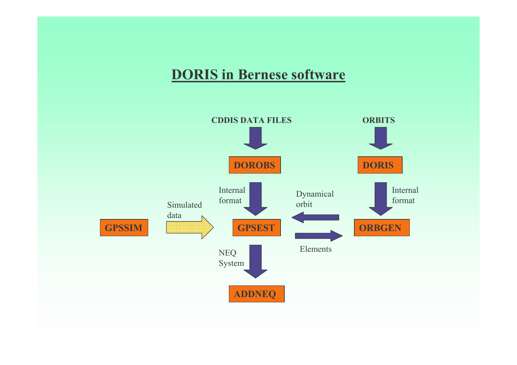# **DORIS in Bernese software**

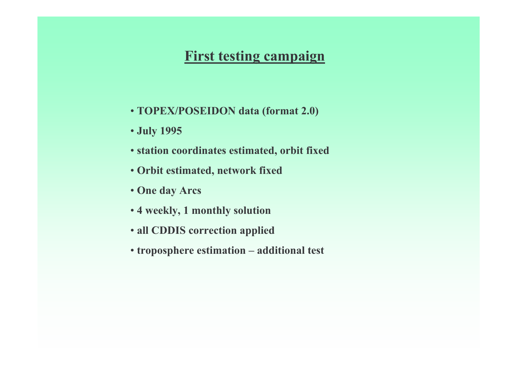### **First testing campaign**

- TOPEX/POSEIDON data (format 2.0)
- **July 1995**
- · station coordinates estimated, orbit fixed
- · Orbit estimated, network fixed
- One day Arcs
- 4 weekly, 1 monthly solution
- · all CDDIS correction applied
- troposphere estimation additional test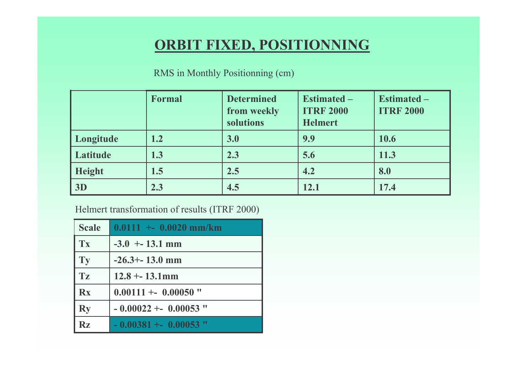# **ORBIT FIXED, POSITIONNING**

#### RMS in Monthly Positionning (cm)

|               | <b>Formal</b> | <b>Determined</b><br>from weekly<br>solutions | Estimated -<br><b>ITRF 2000</b><br><b>Helmert</b> | Estimated -<br><b>ITRF 2000</b> |
|---------------|---------------|-----------------------------------------------|---------------------------------------------------|---------------------------------|
| Longitude     | 1.2           | 3.0                                           | 9.9                                               | <b>10.6</b>                     |
| Latitude      | 1.3           | 2.3                                           | 5.6                                               | 11.3                            |
| <b>Height</b> | 1.5           | 2.5                                           | 4.2                                               | 8.0                             |
| 3D            | 2.3           | 4.5                                           | 12.1                                              | 17.4                            |

#### Helmert transformation of results (ITRF 2000)

| <b>Scale</b> | $0.0111 + 0.0020$ mm/km |
|--------------|-------------------------|
| Tx           | $-3.0$ + - 13.1 mm      |
| <b>Ty</b>    | $-26.3 + -13.0$ mm      |
| Tz           | $12.8 + 13.1$ mm        |
| <b>Rx</b>    | $0.00111 + -0.00050$ "  |
| Ry           | $-0.00022 + -0.00053$ " |
| <b>Rz</b>    | $-0.00381 + -0.00053$ " |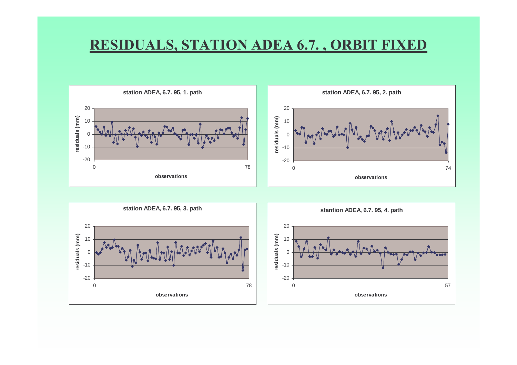### RESIDUALS, STATION ADEA 6.7. , ORBIT FIXED





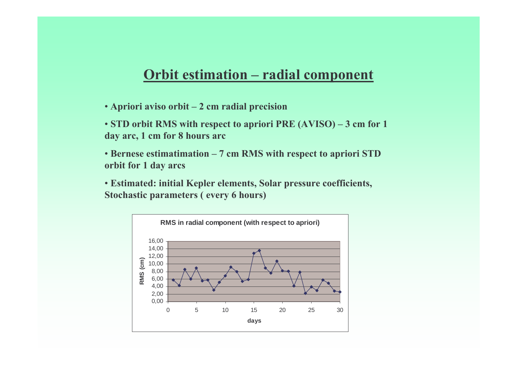### Orbit estimation - radial component

- $\cdot$  Apriori aviso orbit 2 cm radial precision
- $\cdot$  STD orbit RMS with respect to apriori PRE (AVISO) 3 cm for 1 day arc, 1 cm for 8 hours arc
- Bernese estimation 7 cm RMS with respect to apriori STD orbit for 1 day arcs
- Estimated: initial Kepler elements, Solar pressure coefficients, **Stochastic parameters (every 6 hours)**

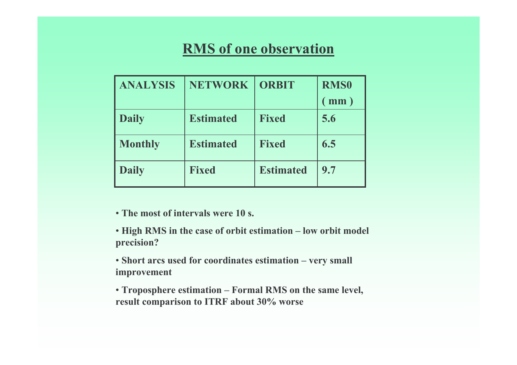# **RMS** of one observation

| <b>ANALYSIS</b> | <b>NETWORK</b>   | <b>ORBIT</b>     | <b>RMS0</b><br>$\text{mm}$ ) |
|-----------------|------------------|------------------|------------------------------|
| <b>Daily</b>    | <b>Estimated</b> | <b>Fixed</b>     | 5.6                          |
| <b>Monthly</b>  | <b>Estimated</b> | <b>Fixed</b>     | 6.5                          |
| <b>Daily</b>    | <b>Fixed</b>     | <b>Estimated</b> | 9.7                          |

• The most of intervals were 10 s.

. High RMS in the case of orbit estimation - low orbit model precision?

• Short arcs used for coordinates estimation – very small improvement

• Troposphere estimation - Formal RMS on the same level, result comparison to ITRF about 30% worse